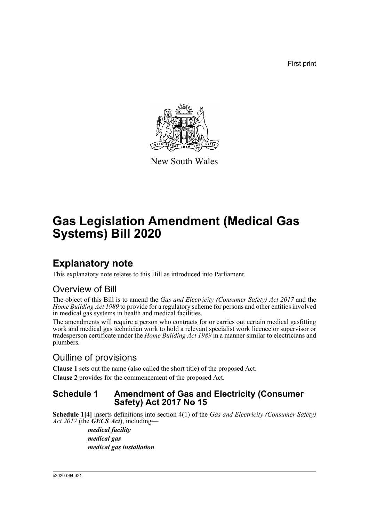First print



New South Wales

# **Gas Legislation Amendment (Medical Gas Systems) Bill 2020**

## **Explanatory note**

This explanatory note relates to this Bill as introduced into Parliament.

## Overview of Bill

The object of this Bill is to amend the *Gas and Electricity (Consumer Safety) Act 2017* and the *Home Building Act 1989* to provide for a regulatory scheme for persons and other entities involved in medical gas systems in health and medical facilities.

The amendments will require a person who contracts for or carries out certain medical gasfitting work and medical gas technician work to hold a relevant specialist work licence or supervisor or tradesperson certificate under the *Home Building Act 1989* in a manner similar to electricians and plumbers.

## Outline of provisions

**Clause 1** sets out the name (also called the short title) of the proposed Act.

**Clause 2** provides for the commencement of the proposed Act.

### **Schedule 1 Amendment of Gas and Electricity (Consumer Safety) Act 2017 No 15**

**Schedule 1[4]** inserts definitions into section 4(1) of the *Gas and Electricity (Consumer Safety) Act 2017* (the *GECS Act*), including—

> *medical facility medical gas medical gas installation*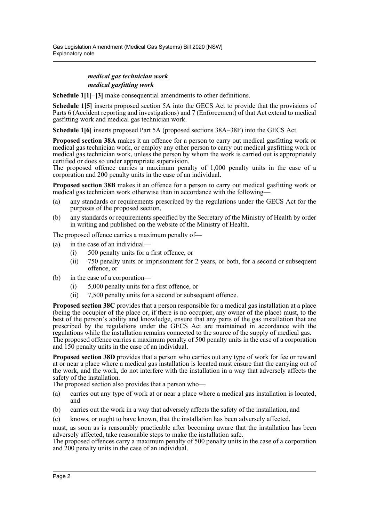#### *medical gas technician work medical gasfitting work*

**Schedule 1[1]–[3]** make consequential amendments to other definitions.

**Schedule 1[5]** inserts proposed section 5A into the GECS Act to provide that the provisions of Parts 6 (Accident reporting and investigations) and 7 (Enforcement) of that Act extend to medical gasfitting work and medical gas technician work.

**Schedule 1[6]** inserts proposed Part 5A (proposed sections 38A–38F) into the GECS Act.

**Proposed section 38A** makes it an offence for a person to carry out medical gasfitting work or medical gas technician work, or employ any other person to carry out medical gasfitting work or medical gas technician work, unless the person by whom the work is carried out is appropriately certified or does so under appropriate supervision.

The proposed offence carries a maximum penalty of  $1,000$  penalty units in the case of a corporation and 200 penalty units in the case of an individual.

**Proposed section 38B** makes it an offence for a person to carry out medical gasfitting work or medical gas technician work otherwise than in accordance with the following—

- (a) any standards or requirements prescribed by the regulations under the GECS Act for the purposes of the proposed section,
- (b) any standards or requirements specified by the Secretary of the Ministry of Health by order in writing and published on the website of the Ministry of Health.

The proposed offence carries a maximum penalty of—

- (a) in the case of an individual—
	- (i) 500 penalty units for a first offence, or
	- (ii) 750 penalty units or imprisonment for 2 years, or both, for a second or subsequent offence, or
- (b) in the case of a corporation—
	- (i) 5,000 penalty units for a first offence, or
	- (ii) 7,500 penalty units for a second or subsequent offence.

**Proposed section 38C** provides that a person responsible for a medical gas installation at a place (being the occupier of the place or, if there is no occupier, any owner of the place) must, to the best of the person's ability and knowledge, ensure that any parts of the gas installation that are prescribed by the regulations under the GECS Act are maintained in accordance with the regulations while the installation remains connected to the source of the supply of medical gas. The proposed offence carries a maximum penalty of 500 penalty units in the case of a corporation and 150 penalty units in the case of an individual.

**Proposed section 38D** provides that a person who carries out any type of work for fee or reward at or near a place where a medical gas installation is located must ensure that the carrying out of the work, and the work, do not interfere with the installation in a way that adversely affects the safety of the installation.

The proposed section also provides that a person who—

- (a) carries out any type of work at or near a place where a medical gas installation is located, and
- (b) carries out the work in a way that adversely affects the safety of the installation, and
- (c) knows, or ought to have known, that the installation has been adversely affected,

must, as soon as is reasonably practicable after becoming aware that the installation has been adversely affected, take reasonable steps to make the installation safe.

The proposed offences carry a maximum penalty of 500 penalty units in the case of a corporation and 200 penalty units in the case of an individual.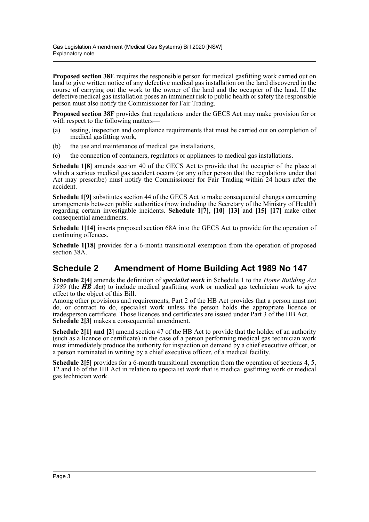**Proposed section 38E** requires the responsible person for medical gasfitting work carried out on land to give written notice of any defective medical gas installation on the land discovered in the course of carrying out the work to the owner of the land and the occupier of the land. If the defective medical gas installation poses an imminent risk to public health or safety the responsible person must also notify the Commissioner for Fair Trading.

**Proposed section 38F** provides that regulations under the GECS Act may make provision for or with respect to the following matters—

- (a) testing, inspection and compliance requirements that must be carried out on completion of medical gasfitting work,
- (b) the use and maintenance of medical gas installations,
- (c) the connection of containers, regulators or appliances to medical gas installations.

**Schedule 1[8]** amends section 40 of the GECS Act to provide that the occupier of the place at which a serious medical gas accident occurs (or any other person that the regulations under that Act may prescribe) must notify the Commissioner for Fair Trading within 24 hours after the accident.

**Schedule 1[9]** substitutes section 44 of the GECS Act to make consequential changes concerning arrangements between public authorities (now including the Secretary of the Ministry of Health) regarding certain investigable incidents. **Schedule 1[7]**, **[10]–[13]** and **[15]–[17]** make other consequential amendments.

**Schedule 1[14]** inserts proposed section 68A into the GECS Act to provide for the operation of continuing offences.

**Schedule 1[18]** provides for a 6-month transitional exemption from the operation of proposed section 38A.

### **Schedule 2 Amendment of Home Building Act 1989 No 147**

**Schedule 2[4]** amends the definition of *specialist work* in Schedule 1 to the *Home Building Act 1989* (the *HB Act*) to include medical gasfitting work or medical gas technician work to give effect to the object of this Bill.

Among other provisions and requirements, Part 2 of the HB Act provides that a person must not do, or contract to do, specialist work unless the person holds the appropriate licence or tradesperson certificate. Those licences and certificates are issued under Part 3 of the HB Act. **Schedule 2[3]** makes a consequential amendment.

**Schedule 2[1] and [2]** amend section 47 of the HB Act to provide that the holder of an authority (such as a licence or certificate) in the case of a person performing medical gas technician work must immediately produce the authority for inspection on demand by a chief executive officer, or a person nominated in writing by a chief executive officer, of a medical facility.

**Schedule 2[5]** provides for a 6-month transitional exemption from the operation of sections 4, 5, 12 and 16 of the HB Act in relation to specialist work that is medical gasfitting work or medical gas technician work.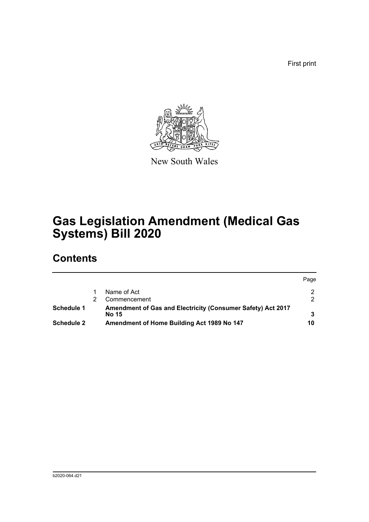First print



New South Wales

# **Gas Legislation Amendment (Medical Gas Systems) Bill 2020**

## **Contents**

|            |                                                                             | Page |
|------------|-----------------------------------------------------------------------------|------|
|            | Name of Act                                                                 |      |
|            | Commencement                                                                | 2    |
| Schedule 1 | Amendment of Gas and Electricity (Consumer Safety) Act 2017<br><b>No 15</b> |      |
| Schedule 2 | Amendment of Home Building Act 1989 No 147                                  | 10   |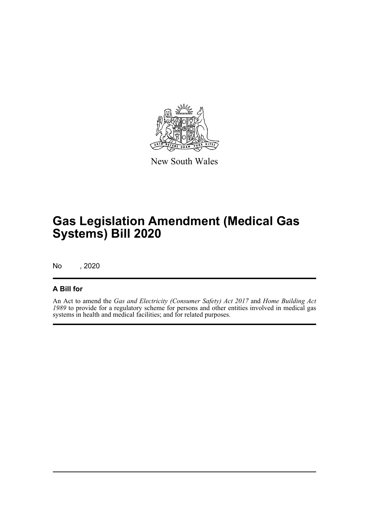

New South Wales

# **Gas Legislation Amendment (Medical Gas Systems) Bill 2020**

No , 2020

### **A Bill for**

An Act to amend the *Gas and Electricity (Consumer Safety) Act 2017* and *Home Building Act 1989* to provide for a regulatory scheme for persons and other entities involved in medical gas systems in health and medical facilities; and for related purposes.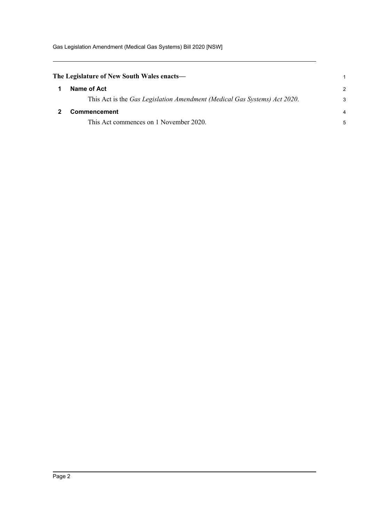Gas Legislation Amendment (Medical Gas Systems) Bill 2020 [NSW]

<span id="page-5-1"></span><span id="page-5-0"></span>

| The Legislature of New South Wales enacts—                                |   |
|---------------------------------------------------------------------------|---|
| Name of Act                                                               | 2 |
| This Act is the Gas Legislation Amendment (Medical Gas Systems) Act 2020. | 3 |
| Commencement                                                              | 4 |
| This Act commences on 1 November 2020.                                    |   |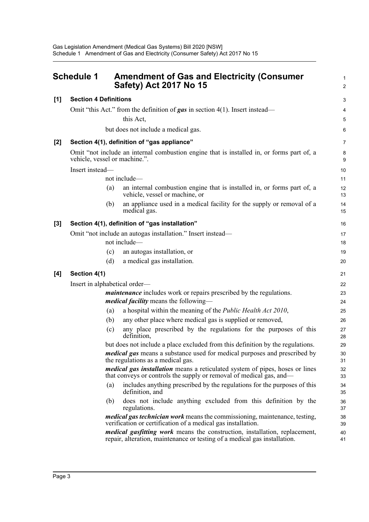<span id="page-6-0"></span>

| <b>Schedule 1</b> |                                                                            | <b>Amendment of Gas and Electricity (Consumer</b><br><b>Safety) Act 2017 No 15</b>                                                                      |          |  |  |  |
|-------------------|----------------------------------------------------------------------------|---------------------------------------------------------------------------------------------------------------------------------------------------------|----------|--|--|--|
| [1]               | <b>Section 4 Definitions</b>                                               |                                                                                                                                                         | 3        |  |  |  |
|                   |                                                                            | Omit "this Act." from the definition of <b>gas</b> in section 4(1). Insert instead—                                                                     | 4        |  |  |  |
|                   |                                                                            | this Act,                                                                                                                                               | 5        |  |  |  |
|                   |                                                                            | but does not include a medical gas.                                                                                                                     | 6        |  |  |  |
| [2]               |                                                                            | Section 4(1), definition of "gas appliance"                                                                                                             | 7        |  |  |  |
|                   | vehicle, vessel or machine.".                                              | Omit "not include an internal combustion engine that is installed in, or forms part of, a                                                               | 8<br>9   |  |  |  |
|                   | Insert instead-                                                            |                                                                                                                                                         | 10       |  |  |  |
|                   |                                                                            | not include-                                                                                                                                            | 11       |  |  |  |
|                   |                                                                            | an internal combustion engine that is installed in, or forms part of, a<br>(a)<br>vehicle, vessel or machine, or                                        | 12<br>13 |  |  |  |
|                   |                                                                            | an appliance used in a medical facility for the supply or removal of a<br>(b)<br>medical gas.                                                           | 14<br>15 |  |  |  |
| [3]               |                                                                            | Section 4(1), definition of "gas installation"                                                                                                          | 16       |  |  |  |
|                   |                                                                            | Omit "not include an autogas installation." Insert instead—                                                                                             | 17       |  |  |  |
|                   |                                                                            | not include-                                                                                                                                            | 18       |  |  |  |
|                   |                                                                            | an autogas installation, or<br>(c)                                                                                                                      | 19       |  |  |  |
|                   |                                                                            | a medical gas installation.<br>(d)                                                                                                                      | 20       |  |  |  |
| [4]               | Section 4(1)                                                               |                                                                                                                                                         | 21       |  |  |  |
|                   | Insert in alphabetical order-                                              |                                                                                                                                                         |          |  |  |  |
|                   | <i>maintenance</i> includes work or repairs prescribed by the regulations. |                                                                                                                                                         |          |  |  |  |
|                   |                                                                            | <i>medical facility</i> means the following—                                                                                                            | 24       |  |  |  |
|                   |                                                                            | a hospital within the meaning of the <i>Public Health Act 2010</i> ,<br>(a)                                                                             | 25       |  |  |  |
|                   |                                                                            | any other place where medical gas is supplied or removed,<br>(b)                                                                                        | 26       |  |  |  |
|                   |                                                                            | any place prescribed by the regulations for the purposes of this<br>(c)<br>definition,                                                                  | 27<br>28 |  |  |  |
|                   |                                                                            | but does not include a place excluded from this definition by the regulations.                                                                          | 29       |  |  |  |
|                   |                                                                            | <i>medical gas</i> means a substance used for medical purposes and prescribed by<br>the regulations as a medical gas.                                   | 30<br>31 |  |  |  |
|                   |                                                                            | medical gas installation means a reticulated system of pipes, hoses or lines<br>that conveys or controls the supply or removal of medical gas, and—     | 32<br>33 |  |  |  |
|                   |                                                                            | includes anything prescribed by the regulations for the purposes of this<br>(a)<br>definition, and                                                      | 34<br>35 |  |  |  |
|                   |                                                                            | does not include anything excluded from this definition by the<br>(b)<br>regulations.                                                                   | 36<br>37 |  |  |  |
|                   |                                                                            | medical gas technician work means the commissioning, maintenance, testing,<br>verification or certification of a medical gas installation.              | 38<br>39 |  |  |  |
|                   |                                                                            | medical gasfitting work means the construction, installation, replacement,<br>repair, alteration, maintenance or testing of a medical gas installation. | 40<br>41 |  |  |  |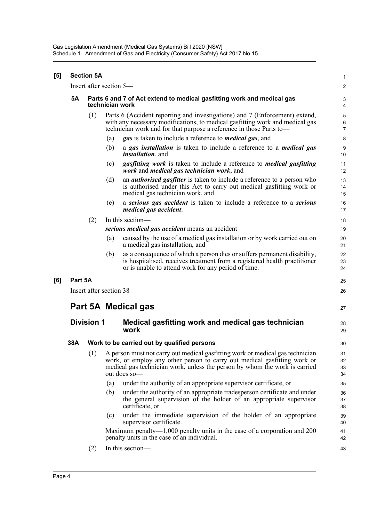Gas Legislation Amendment (Medical Gas Systems) Bill 2020 [NSW] Schedule 1 Amendment of Gas and Electricity (Consumer Safety) Act 2017 No 15

| $\left[ 5\right]$ |                     | <b>Section 5A</b>                                                                         |     |                                                                                                                                                                                                                                                         | $\mathbf{1}$         |  |  |  |
|-------------------|---------------------|-------------------------------------------------------------------------------------------|-----|---------------------------------------------------------------------------------------------------------------------------------------------------------------------------------------------------------------------------------------------------------|----------------------|--|--|--|
|                   |                     | Insert after section 5—                                                                   |     |                                                                                                                                                                                                                                                         | $\overline{2}$       |  |  |  |
|                   | <b>5A</b>           | Parts 6 and 7 of Act extend to medical gasfitting work and medical gas<br>technician work |     |                                                                                                                                                                                                                                                         |                      |  |  |  |
|                   |                     | (1)                                                                                       |     | Parts 6 (Accident reporting and investigations) and 7 (Enforcement) extend,<br>with any necessary modifications, to medical gasfitting work and medical gas<br>technician work and for that purpose a reference in those Parts to-                      |                      |  |  |  |
|                   |                     |                                                                                           | (a) | gas is taken to include a reference to <i>medical</i> gas, and                                                                                                                                                                                          | 8                    |  |  |  |
|                   |                     |                                                                                           | (b) | a gas installation is taken to include a reference to a <i>medical</i> gas<br><i>installation</i> , and                                                                                                                                                 | $9\,$<br>10          |  |  |  |
|                   |                     |                                                                                           | (c) | <i>gasfitting work</i> is taken to include a reference to <i>medical gasfitting</i><br>work and <i>medical</i> gas <i>technician</i> work, and                                                                                                          | 11<br>12             |  |  |  |
|                   |                     |                                                                                           | (d) | an <i>authorised gasfitter</i> is taken to include a reference to a person who<br>is authorised under this Act to carry out medical gasfitting work or<br>medical gas technician work, and                                                              | 13<br>14<br>15       |  |  |  |
|                   |                     |                                                                                           | (e) | a serious gas accident is taken to include a reference to a serious<br>medical gas accident.                                                                                                                                                            | 16<br>17             |  |  |  |
|                   |                     | (2)                                                                                       |     | In this section-                                                                                                                                                                                                                                        | 18                   |  |  |  |
|                   |                     |                                                                                           |     | serious medical gas accident means an accident—                                                                                                                                                                                                         | 19                   |  |  |  |
|                   |                     |                                                                                           | (a) | caused by the use of a medical gas installation or by work carried out on<br>a medical gas installation, and                                                                                                                                            | 20<br>21             |  |  |  |
|                   |                     |                                                                                           | (b) | as a consequence of which a person dies or suffers permanent disability,<br>is hospitalised, receives treatment from a registered health practitioner<br>or is unable to attend work for any period of time.                                            | 22<br>23<br>24       |  |  |  |
| [6]               | Part 5A             |                                                                                           |     |                                                                                                                                                                                                                                                         | 25                   |  |  |  |
|                   |                     | Insert after section 38—                                                                  |     |                                                                                                                                                                                                                                                         | 26                   |  |  |  |
|                   | Part 5A Medical gas |                                                                                           |     |                                                                                                                                                                                                                                                         |                      |  |  |  |
|                   | <b>Division 1</b>   |                                                                                           |     | Medical gasfitting work and medical gas technician<br>work                                                                                                                                                                                              | 28<br>29             |  |  |  |
|                   | 38A                 | Work to be carried out by qualified persons                                               |     |                                                                                                                                                                                                                                                         |                      |  |  |  |
|                   |                     | (1)                                                                                       |     | A person must not carry out medical gasfitting work or medical gas technician<br>work, or employ any other person to carry out medical gasfitting work or<br>medical gas technician work, unless the person by whom the work is carried<br>out does so- | 31<br>32<br>33<br>34 |  |  |  |
|                   |                     |                                                                                           | (a) | under the authority of an appropriate supervisor certificate, or                                                                                                                                                                                        | 35                   |  |  |  |
|                   |                     |                                                                                           | (b) | under the authority of an appropriate tradesperson certificate and under<br>the general supervision of the holder of an appropriate supervisor<br>certificate, or                                                                                       | 36<br>37<br>38       |  |  |  |
|                   |                     |                                                                                           | (c) | under the immediate supervision of the holder of an appropriate<br>supervisor certificate.                                                                                                                                                              | 39<br>40             |  |  |  |
|                   |                     |                                                                                           |     | Maximum penalty— $1,000$ penalty units in the case of a corporation and 200<br>penalty units in the case of an individual.                                                                                                                              | 41<br>42             |  |  |  |
|                   |                     | (2)                                                                                       |     | In this section-                                                                                                                                                                                                                                        | 43                   |  |  |  |
|                   |                     |                                                                                           |     |                                                                                                                                                                                                                                                         |                      |  |  |  |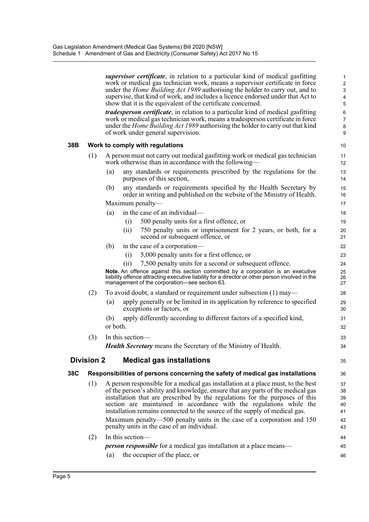|     |                   |          | <i>supervisor certificate</i> , in relation to a particular kind of medical gasfitting<br>work or medical gas technician work, means a supervisor certificate in force<br>under the <i>Home Building Act 1989</i> authorising the holder to carry out, and to<br>supervise, that kind of work, and includes a licence endorsed under that Act to<br>show that it is the equivalent of the certificate concerned.<br>tradesperson certificate, in relation to a particular kind of medical gasfitting<br>work or medical gas technician work, means a tradesperson certificate in force<br>under the <i>Home Building Act 1989</i> authorising the holder to carry out that kind<br>of work under general supervision. | 1<br>$\overline{c}$<br>3<br>4<br>5<br>6<br>7<br>8<br>9 |  |  |  |
|-----|-------------------|----------|-----------------------------------------------------------------------------------------------------------------------------------------------------------------------------------------------------------------------------------------------------------------------------------------------------------------------------------------------------------------------------------------------------------------------------------------------------------------------------------------------------------------------------------------------------------------------------------------------------------------------------------------------------------------------------------------------------------------------|--------------------------------------------------------|--|--|--|
| 38B |                   |          | Work to comply with regulations                                                                                                                                                                                                                                                                                                                                                                                                                                                                                                                                                                                                                                                                                       | 10                                                     |  |  |  |
|     | (1)               |          | A person must not carry out medical gasfitting work or medical gas technician<br>11<br>work otherwise than in accordance with the following—<br>12                                                                                                                                                                                                                                                                                                                                                                                                                                                                                                                                                                    |                                                        |  |  |  |
|     |                   | (a)      | any standards or requirements prescribed by the regulations for the<br>purposes of this section,                                                                                                                                                                                                                                                                                                                                                                                                                                                                                                                                                                                                                      | 13<br>14                                               |  |  |  |
|     |                   | (b)      | any standards or requirements specified by the Health Secretary by<br>order in writing and published on the website of the Ministry of Health.                                                                                                                                                                                                                                                                                                                                                                                                                                                                                                                                                                        | 15<br>16                                               |  |  |  |
|     |                   |          | Maximum penalty—                                                                                                                                                                                                                                                                                                                                                                                                                                                                                                                                                                                                                                                                                                      | 17                                                     |  |  |  |
|     |                   | (a)      | in the case of an individual—                                                                                                                                                                                                                                                                                                                                                                                                                                                                                                                                                                                                                                                                                         | 18                                                     |  |  |  |
|     |                   |          | 500 penalty units for a first offence, or<br>(i)                                                                                                                                                                                                                                                                                                                                                                                                                                                                                                                                                                                                                                                                      | 19                                                     |  |  |  |
|     |                   |          | (ii)<br>750 penalty units or imprisonment for 2 years, or both, for a<br>second or subsequent offence, or                                                                                                                                                                                                                                                                                                                                                                                                                                                                                                                                                                                                             | 20<br>21                                               |  |  |  |
|     |                   | (b)      | in the case of a corporation—                                                                                                                                                                                                                                                                                                                                                                                                                                                                                                                                                                                                                                                                                         | 22                                                     |  |  |  |
|     |                   |          | 5,000 penalty units for a first offence, or<br>(i)                                                                                                                                                                                                                                                                                                                                                                                                                                                                                                                                                                                                                                                                    | 23                                                     |  |  |  |
|     |                   |          | 7,500 penalty units for a second or subsequent offence.<br>(ii)                                                                                                                                                                                                                                                                                                                                                                                                                                                                                                                                                                                                                                                       | 24                                                     |  |  |  |
|     |                   |          | Note. An offence against this section committed by a corporation is an executive<br>liability offence attracting executive liability for a director or other person involved in the<br>management of the corporation-see section 63.                                                                                                                                                                                                                                                                                                                                                                                                                                                                                  | 25<br>26<br>27                                         |  |  |  |
|     | (2)               |          | To avoid doubt, a standard or requirement under subsection $(1)$ may—                                                                                                                                                                                                                                                                                                                                                                                                                                                                                                                                                                                                                                                 | 28                                                     |  |  |  |
|     |                   | (a)      | apply generally or be limited in its application by reference to specified<br>exceptions or factors, or                                                                                                                                                                                                                                                                                                                                                                                                                                                                                                                                                                                                               | 29<br>30                                               |  |  |  |
|     |                   | (b)      | apply differently according to different factors of a specified kind,                                                                                                                                                                                                                                                                                                                                                                                                                                                                                                                                                                                                                                                 | 31                                                     |  |  |  |
|     |                   | or both. |                                                                                                                                                                                                                                                                                                                                                                                                                                                                                                                                                                                                                                                                                                                       | 32                                                     |  |  |  |
|     | (3)               |          | In this section-                                                                                                                                                                                                                                                                                                                                                                                                                                                                                                                                                                                                                                                                                                      | 33                                                     |  |  |  |
|     |                   |          | Health Secretary means the Secretary of the Ministry of Health.                                                                                                                                                                                                                                                                                                                                                                                                                                                                                                                                                                                                                                                       | 34                                                     |  |  |  |
|     | <b>Division 2</b> |          | <b>Medical gas installations</b>                                                                                                                                                                                                                                                                                                                                                                                                                                                                                                                                                                                                                                                                                      | 35                                                     |  |  |  |
| 38C |                   |          | Responsibilities of persons concerning the safety of medical gas installations                                                                                                                                                                                                                                                                                                                                                                                                                                                                                                                                                                                                                                        | 36                                                     |  |  |  |
|     | (1)               |          | A person responsible for a medical gas installation at a place must, to the best                                                                                                                                                                                                                                                                                                                                                                                                                                                                                                                                                                                                                                      | 37                                                     |  |  |  |
|     |                   |          | of the person's ability and knowledge, ensure that any parts of the medical gas                                                                                                                                                                                                                                                                                                                                                                                                                                                                                                                                                                                                                                       | 38                                                     |  |  |  |
|     |                   |          | installation that are prescribed by the regulations for the purposes of this                                                                                                                                                                                                                                                                                                                                                                                                                                                                                                                                                                                                                                          | 39                                                     |  |  |  |
|     |                   |          | section are maintained in accordance with the regulations while the<br>installation remains connected to the source of the supply of medical gas.                                                                                                                                                                                                                                                                                                                                                                                                                                                                                                                                                                     | 40<br>41                                               |  |  |  |
|     |                   |          | Maximum penalty—500 penalty units in the case of a corporation and 150                                                                                                                                                                                                                                                                                                                                                                                                                                                                                                                                                                                                                                                | 42                                                     |  |  |  |
|     |                   |          | penalty units in the case of an individual.                                                                                                                                                                                                                                                                                                                                                                                                                                                                                                                                                                                                                                                                           | 43                                                     |  |  |  |
|     | (2)               |          | In this section-                                                                                                                                                                                                                                                                                                                                                                                                                                                                                                                                                                                                                                                                                                      | 44                                                     |  |  |  |
|     |                   |          | <i>person responsible</i> for a medical gas installation at a place means—                                                                                                                                                                                                                                                                                                                                                                                                                                                                                                                                                                                                                                            | 45                                                     |  |  |  |
|     |                   | (a)      | the occupier of the place, or                                                                                                                                                                                                                                                                                                                                                                                                                                                                                                                                                                                                                                                                                         | 46                                                     |  |  |  |
|     |                   |          |                                                                                                                                                                                                                                                                                                                                                                                                                                                                                                                                                                                                                                                                                                                       |                                                        |  |  |  |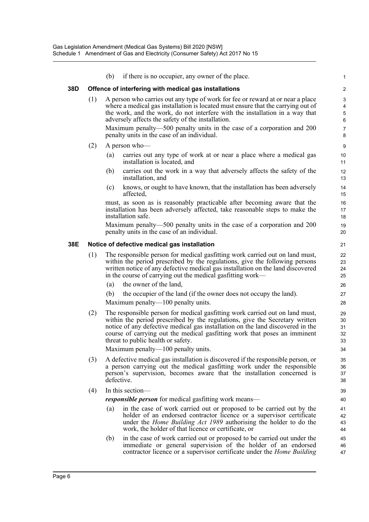|     |                                              | (b)        | if there is no occupier, any owner of the place.                                                                                                                                                                                                                                                                                                                 | 1                          |  |  |  |  |  |  |  |
|-----|----------------------------------------------|------------|------------------------------------------------------------------------------------------------------------------------------------------------------------------------------------------------------------------------------------------------------------------------------------------------------------------------------------------------------------------|----------------------------|--|--|--|--|--|--|--|
| 38D |                                              |            | Offence of interfering with medical gas installations                                                                                                                                                                                                                                                                                                            | 2                          |  |  |  |  |  |  |  |
|     | (1)                                          |            | A person who carries out any type of work for fee or reward at or near a place<br>where a medical gas installation is located must ensure that the carrying out of<br>the work, and the work, do not interfere with the installation in a way that<br>adversely affects the safety of the installation.                                                          | 3<br>4<br>5<br>6           |  |  |  |  |  |  |  |
|     |                                              |            | Maximum penalty—500 penalty units in the case of a corporation and 200<br>penalty units in the case of an individual.                                                                                                                                                                                                                                            | 7<br>8                     |  |  |  |  |  |  |  |
|     | (2)                                          |            | A person who-                                                                                                                                                                                                                                                                                                                                                    | 9                          |  |  |  |  |  |  |  |
|     |                                              | (a)        | carries out any type of work at or near a place where a medical gas<br>installation is located, and                                                                                                                                                                                                                                                              | 10<br>11                   |  |  |  |  |  |  |  |
|     |                                              | (b)        | carries out the work in a way that adversely affects the safety of the<br>installation, and                                                                                                                                                                                                                                                                      | 12<br>13                   |  |  |  |  |  |  |  |
|     |                                              | (c)        | knows, or ought to have known, that the installation has been adversely<br>affected,                                                                                                                                                                                                                                                                             | 14<br>15                   |  |  |  |  |  |  |  |
|     |                                              |            | must, as soon as is reasonably practicable after becoming aware that the<br>installation has been adversely affected, take reasonable steps to make the<br>installation safe.                                                                                                                                                                                    | 16<br>17<br>18             |  |  |  |  |  |  |  |
|     |                                              |            | Maximum penalty—500 penalty units in the case of a corporation and 200<br>penalty units in the case of an individual.                                                                                                                                                                                                                                            | 19<br>20                   |  |  |  |  |  |  |  |
| 38E | Notice of defective medical gas installation |            |                                                                                                                                                                                                                                                                                                                                                                  |                            |  |  |  |  |  |  |  |
|     | (1)                                          |            | The responsible person for medical gasfitting work carried out on land must,<br>within the period prescribed by the regulations, give the following persons<br>written notice of any defective medical gas installation on the land discovered<br>in the course of carrying out the medical gasfitting work—                                                     | 22<br>23<br>24<br>25       |  |  |  |  |  |  |  |
|     |                                              | (a)        | the owner of the land,                                                                                                                                                                                                                                                                                                                                           | 26                         |  |  |  |  |  |  |  |
|     |                                              | (b)        | the occupier of the land (if the owner does not occupy the land).<br>Maximum penalty—100 penalty units.                                                                                                                                                                                                                                                          | 27<br>28                   |  |  |  |  |  |  |  |
|     | (2)                                          |            | The responsible person for medical gasfitting work carried out on land must,<br>within the period prescribed by the regulations, give the Secretary written<br>notice of any defective medical gas installation on the land discovered in the<br>course of carrying out the medical gasfitting work that poses an imminent<br>threat to public health or safety. | 29<br>30<br>31<br>32<br>33 |  |  |  |  |  |  |  |
|     |                                              |            | Maximum penalty-100 penalty units.                                                                                                                                                                                                                                                                                                                               | 34                         |  |  |  |  |  |  |  |
|     | (3)                                          | defective. | A defective medical gas installation is discovered if the responsible person, or<br>a person carrying out the medical gasfitting work under the responsible<br>person's supervision, becomes aware that the installation concerned is                                                                                                                            | 35<br>36<br>37<br>38       |  |  |  |  |  |  |  |
|     | (4)                                          |            | In this section-                                                                                                                                                                                                                                                                                                                                                 | 39                         |  |  |  |  |  |  |  |
|     |                                              |            | <i>responsible person</i> for medical gasfitting work means—                                                                                                                                                                                                                                                                                                     | 40                         |  |  |  |  |  |  |  |
|     |                                              | (a)        | in the case of work carried out or proposed to be carried out by the<br>holder of an endorsed contractor licence or a supervisor certificate<br>under the <i>Home Building Act 1989</i> authorising the holder to do the<br>work, the holder of that licence or certificate, or                                                                                  | 41<br>42<br>43<br>44       |  |  |  |  |  |  |  |
|     |                                              | (b)        | in the case of work carried out or proposed to be carried out under the<br>immediate or general supervision of the holder of an endorsed<br>contractor licence or a supervisor certificate under the <i>Home Building</i>                                                                                                                                        | 45<br>46<br>47             |  |  |  |  |  |  |  |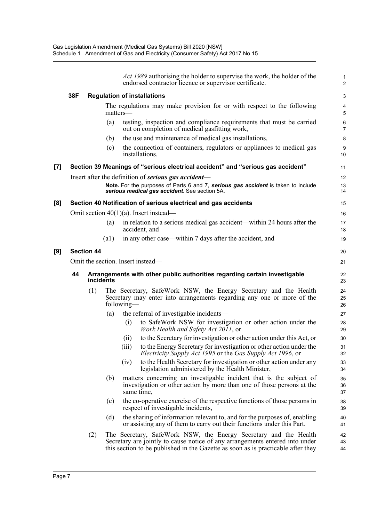*Act 1989* authorising the holder to supervise the work, the holder of the endorsed contractor licence or supervisor certificate.

1 2

#### **38F Regulation of installations**

|                     | 38F |                   |          |            | <b>Regulation of installations</b>                                                                                                                                                                                                   | 3                   |
|---------------------|-----|-------------------|----------|------------|--------------------------------------------------------------------------------------------------------------------------------------------------------------------------------------------------------------------------------------|---------------------|
|                     |     |                   | matters- |            | The regulations may make provision for or with respect to the following                                                                                                                                                              | 4<br>5              |
|                     |     |                   | (a)      |            | testing, inspection and compliance requirements that must be carried<br>out on completion of medical gasfitting work,                                                                                                                | 6<br>$\overline{7}$ |
|                     |     |                   | (b)      |            | the use and maintenance of medical gas installations,                                                                                                                                                                                | 8                   |
|                     |     |                   | (c)      |            | the connection of containers, regulators or appliances to medical gas<br>installations.                                                                                                                                              | 9<br>10             |
| $\lbrack 7 \rbrack$ |     |                   |          |            | Section 39 Meanings of "serious electrical accident" and "serious gas accident"                                                                                                                                                      | 11                  |
|                     |     |                   |          |            | Insert after the definition of <b>serious</b> gas accident—                                                                                                                                                                          | 12                  |
|                     |     |                   |          |            | Note. For the purposes of Parts 6 and 7, serious gas accident is taken to include<br>serious medical gas accident. See section 5A.                                                                                                   | 13<br>14            |
| [8]                 |     |                   |          |            | Section 40 Notification of serious electrical and gas accidents                                                                                                                                                                      | 15                  |
|                     |     |                   |          |            | Omit section $40(1)(a)$ . Insert instead—                                                                                                                                                                                            | 16                  |
|                     |     |                   | (a)      |            | in relation to a serious medical gas accident—within 24 hours after the<br>accident, and                                                                                                                                             | 17<br>18            |
|                     |     |                   | (a1)     |            | in any other case—within 7 days after the accident, and                                                                                                                                                                              | 19                  |
| [9]                 |     | <b>Section 44</b> |          |            |                                                                                                                                                                                                                                      | 20                  |
|                     |     |                   |          |            | Omit the section. Insert instead—                                                                                                                                                                                                    | 21                  |
|                     | 44  | <i>incidents</i>  |          |            | Arrangements with other public authorities regarding certain investigable                                                                                                                                                            | 22<br>23            |
|                     |     | (1)               |          | following— | The Secretary, SafeWork NSW, the Energy Secretary and the Health<br>Secretary may enter into arrangements regarding any one or more of the                                                                                           | 24<br>25<br>26      |
|                     |     |                   | (a)      |            | the referral of investigable incidents—                                                                                                                                                                                              | 27                  |
|                     |     |                   |          | (i)        | to SafeWork NSW for investigation or other action under the<br>Work Health and Safety Act 2011, or                                                                                                                                   | 28<br>29            |
|                     |     |                   |          | (i)        | to the Secretary for investigation or other action under this Act, or                                                                                                                                                                | 30                  |
|                     |     |                   |          | (iii)      | to the Energy Secretary for investigation or other action under the<br>Electricity Supply Act 1995 or the Gas Supply Act 1996, or                                                                                                    | 31<br>32            |
|                     |     |                   |          | (1V)       | to the Health Secretary for investigation or other action under any<br>legislation administered by the Health Minister,                                                                                                              | 33<br>34            |
|                     |     |                   | (b)      | same time, | matters concerning an investigable incident that is the subject of<br>investigation or other action by more than one of those persons at the                                                                                         | 35<br>36<br>37      |
|                     |     |                   | (c)      |            | the co-operative exercise of the respective functions of those persons in<br>respect of investigable incidents,                                                                                                                      | 38<br>39            |
|                     |     |                   | (d)      |            | the sharing of information relevant to, and for the purposes of, enabling<br>or assisting any of them to carry out their functions under this Part.                                                                                  | 40<br>41            |
|                     |     | (2)               |          |            | The Secretary, SafeWork NSW, the Energy Secretary and the Health<br>Secretary are jointly to cause notice of any arrangements entered into under<br>this section to be published in the Gazette as soon as is practicable after they | 42<br>43<br>44      |

**[9] Section 44**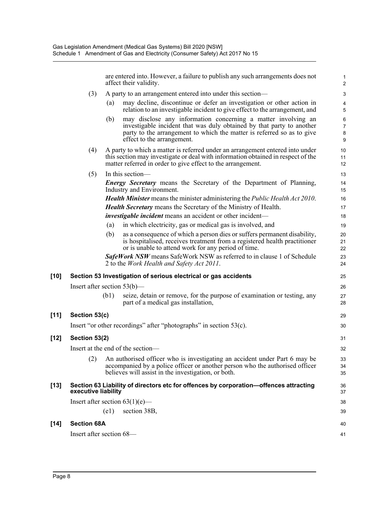are entered into. However, a failure to publish any such arrangements does not affect their validity.

39

40 41

- (3) A party to an arrangement entered into under this section—
	- (a) may decline, discontinue or defer an investigation or other action in relation to an investigable incident to give effect to the arrangement, and
	- (b) may disclose any information concerning a matter involving an investigable incident that was duly obtained by that party to another party to the arrangement to which the matter is referred so as to give effect to the arrangement.
- (4) A party to which a matter is referred under an arrangement entered into under this section may investigate or deal with information obtained in respect of the matter referred in order to give effect to the arrangement.
- (5) In this section— *Energy Secretary* means the Secretary of the Department of Planning, Industry and Environment. *Health Minister* means the minister administering the *Public Health Act 2010*. *Health Secretary* means the Secretary of the Ministry of Health. *investigable incident* means an accident or other incident-(a) in which electricity, gas or medical gas is involved, and (b) as a consequence of which a person dies or suffers permanent disability, is hospitalised, receives treatment from a registered health practitioner or is unable to attend work for any period of time. *SafeWork NSW* means SafeWork NSW as referred to in clause 1 of Schedule 2 to the *Work Health and Safety Act 2011*. **[10] Section 53 Investigation of serious electrical or gas accidents** Insert after section 53(b)— (b1) seize, detain or remove, for the purpose of examination or testing, any part of a medical gas installation, **[11] Section 53(c)** Insert "or other recordings" after "photographs" in section 53(c). **[12] Section 53(2)** Insert at the end of the section— (2) An authorised officer who is investigating an accident under Part 6 may be accompanied by a police officer or another person who the authorised officer believes will assist in the investigation, or both. **[13] Section 63 Liability of directors etc for offences by corporation—offences attracting executive liability** Insert after section  $63(1)(e)$ — 11 12 13 14 15 16 17 18 19 20 21 22 23 24 25 26 27 28 29 30 31 32 33 34 35 36 37 38

(e1) section 38B,

#### **[14] Section 68A**

Insert after section 68—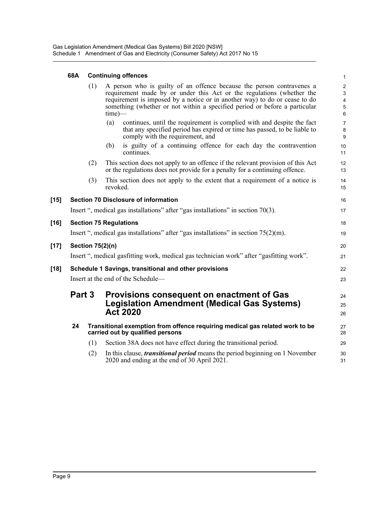#### **68A Continuing offences**

|        | 68A | <b>Continuing offences</b> |           |                                                                                                                                                                                                                                                                                                            |                                                                              |  |
|--------|-----|----------------------------|-----------|------------------------------------------------------------------------------------------------------------------------------------------------------------------------------------------------------------------------------------------------------------------------------------------------------------|------------------------------------------------------------------------------|--|
|        |     | (1)                        | $time)$ — | A person who is guilty of an offence because the person contravenes a<br>requirement made by or under this Act or the regulations (whether the<br>requirement is imposed by a notice or in another way) to do or cease to do<br>something (whether or not within a specified period or before a particular | $\overline{c}$<br>$\mathbf{3}$<br>$\overline{\mathbf{4}}$<br>$\sqrt{5}$<br>6 |  |
|        |     |                            | (a)       | continues, until the requirement is complied with and despite the fact<br>that any specified period has expired or time has passed, to be liable to<br>comply with the requirement, and                                                                                                                    | $\overline{7}$<br>8<br>$9\,$                                                 |  |
|        |     |                            | (b)       | is guilty of a continuing offence for each day the contravention<br>continues.                                                                                                                                                                                                                             | 10<br>11                                                                     |  |
|        |     | (2)                        |           | This section does not apply to an offence if the relevant provision of this Act<br>or the regulations does not provide for a penalty for a continuing offence.                                                                                                                                             | 12<br>13                                                                     |  |
|        |     | (3)                        | revoked.  | This section does not apply to the extent that a requirement of a notice is                                                                                                                                                                                                                                | 14<br>15                                                                     |  |
| $[15]$ |     |                            |           | <b>Section 70 Disclosure of information</b>                                                                                                                                                                                                                                                                | 16                                                                           |  |
|        |     |                            |           | Insert ", medical gas installations" after "gas installations" in section 70(3).                                                                                                                                                                                                                           | 17                                                                           |  |
| $[16]$ |     |                            |           | <b>Section 75 Regulations</b>                                                                                                                                                                                                                                                                              | 18                                                                           |  |
|        |     |                            |           | Insert ", medical gas installations" after "gas installations" in section $75(2)(m)$ .                                                                                                                                                                                                                     | 19                                                                           |  |
| $[17]$ |     | <b>Section 75(2)(n)</b>    |           |                                                                                                                                                                                                                                                                                                            | 20                                                                           |  |
|        |     |                            |           | Insert ", medical gasfitting work, medical gas technician work" after "gasfitting work".                                                                                                                                                                                                                   | 21                                                                           |  |
| $[18]$ |     |                            |           | Schedule 1 Savings, transitional and other provisions                                                                                                                                                                                                                                                      | 22                                                                           |  |
|        |     |                            |           | Insert at the end of the Schedule-                                                                                                                                                                                                                                                                         | 23                                                                           |  |
|        |     | Part 3                     |           | Provisions consequent on enactment of Gas<br><b>Legislation Amendment (Medical Gas Systems)</b><br><b>Act 2020</b>                                                                                                                                                                                         | 24<br>25<br>26                                                               |  |
|        | 24  |                            |           | Transitional exemption from offence requiring medical gas related work to be<br>carried out by qualified persons                                                                                                                                                                                           | 27<br>28                                                                     |  |
|        |     | (1)                        |           | Section 38A does not have effect during the transitional period.                                                                                                                                                                                                                                           | 29                                                                           |  |
|        |     | (2)                        |           | In this clause, <i>transitional period</i> means the period beginning on 1 November<br>2020 and ending at the end of 30 April 2021.                                                                                                                                                                        | 30<br>31                                                                     |  |